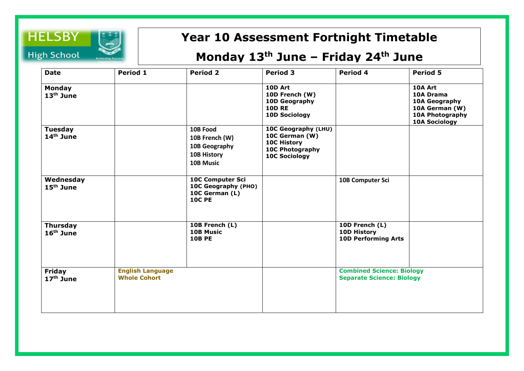

## **Year 10 Assessment Fortnight Timetable**

## **Monday 13th June – Friday 24th June**

| <b>Date</b>                        | Period 1                                       | <b>Period 2</b>                                                                   | <b>Period 3</b>                                                                                 | Period 4                                                             | <b>Period 5</b>                                                                                    |
|------------------------------------|------------------------------------------------|-----------------------------------------------------------------------------------|-------------------------------------------------------------------------------------------------|----------------------------------------------------------------------|----------------------------------------------------------------------------------------------------|
| <b>Monday</b><br>$13th$ June       |                                                |                                                                                   | 10D Art<br>10D French (W)<br>10D Geography<br><b>10D RE</b><br><b>10D Sociology</b>             |                                                                      | 10A Art<br>10A Drama<br>10A Geography<br>10A German (W)<br>10A Photography<br><b>10A Sociology</b> |
| Tuesday<br>$14th$ June             |                                                | 10B Food<br>10B French (W)<br>10B Geography<br>10B History<br>10B Music           | 10C Geography (LHU)<br>10C German (W)<br>10C History<br>10C Photography<br><b>10C Sociology</b> |                                                                      |                                                                                                    |
| Wednesday<br>15 <sup>th</sup> June |                                                | <b>10C Computer Sci</b><br>10C Geography (PHO)<br>10C German (L)<br><b>10C PE</b> |                                                                                                 | 10B Computer Sci                                                     |                                                                                                    |
| <b>Thursday</b><br>$16th$ June     |                                                | 10B French (L)<br><b>10B Music</b><br><b>10B PE</b>                               |                                                                                                 | 10D French (L)<br>10D History<br><b>10D Performing Arts</b>          |                                                                                                    |
| <b>Friday</b><br>$17th$ June       | <b>English Language</b><br><b>Whole Cohort</b> |                                                                                   |                                                                                                 | <b>Combined Science: Biology</b><br><b>Separate Science: Biology</b> |                                                                                                    |